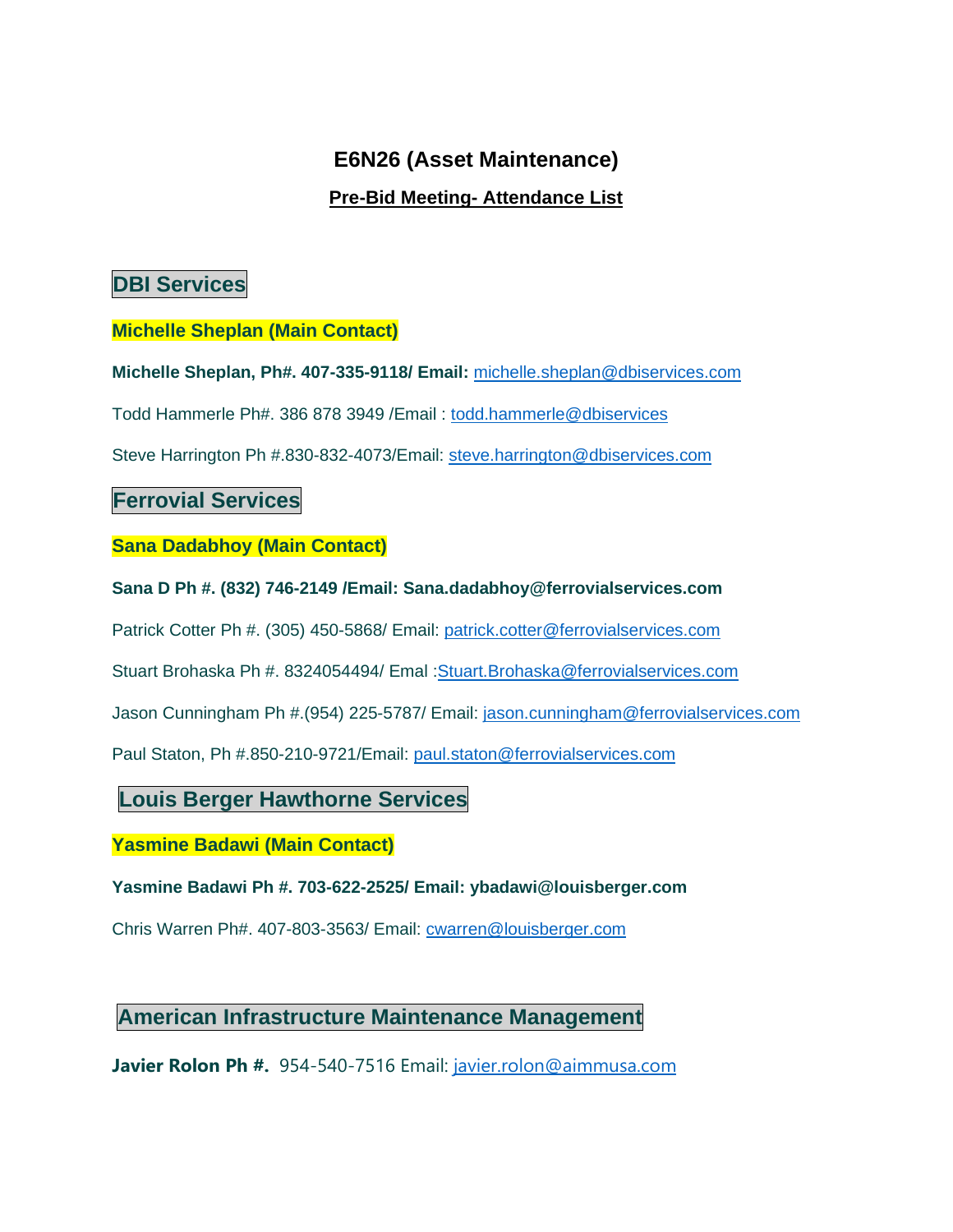# **E6N26 (Asset Maintenance)**

#### **Pre-Bid Meeting- Attendance List**

# **DBI Services**

#### **Michelle Sheplan (Main Contact)**

**Michelle Sheplan, Ph#. 407-335-9118/ Email:** michelle.sheplan@dbiservices.com

Todd Hammerle Ph#. 386 878 3949 /Email : todd.hammerle@dbiservices

Steve Harrington Ph #.830-832-4073/Email: steve.harrington@dbiservices.com

### **Ferrovial Services**

**Sana Dadabhoy (Main Contact)** 

**Sana D Ph #. (832) 746-2149 /Email: Sana.dadabhoy@ferrovialservices.com** 

Patrick Cotter Ph #. (305) 450-5868/ Email: patrick.cotter@ferrovialservices.com

Stuart Brohaska Ph #. 8324054494/ Emal :Stuart.Brohaska@ferrovialservices.com

Jason Cunningham Ph #.(954) 225-5787/ Email: jason.cunningham@ferrovialservices.com

Paul Staton, Ph #.850-210-9721/Email: paul.staton@ferrovialservices.com

### **Louis Berger Hawthorne Services**

#### **Yasmine Badawi (Main Contact)**

**Yasmine Badawi Ph #. 703-622-2525/ Email: ybadawi@louisberger.com** 

Chris Warren Ph#. 407-803-3563/ Email: cwarren@louisberger.com

## **American Infrastructure Maintenance Management**

**Javier Rolon Ph #.** 954-540-7516 Email: javier.rolon@aimmusa.com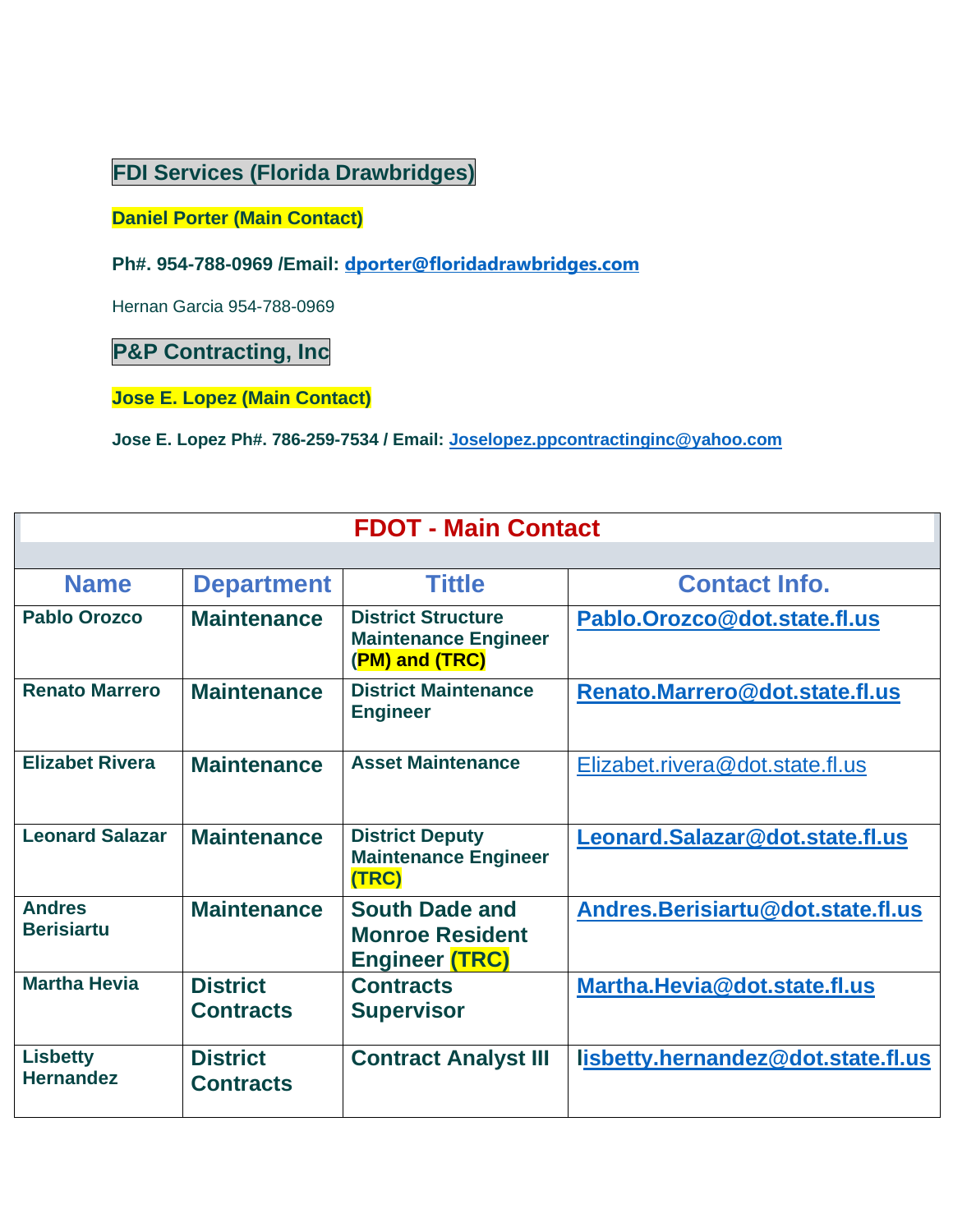# **FDI Services (Florida Drawbridges)**

**Daniel Porter (Main Contact)** 

**Ph#. 954-788-0969 /Email: dporter@floridadrawbridges.com**

Hernan Garcia 954-788-0969

**P&P Contracting, Inc** 

**Jose E. Lopez (Main Contact)** 

**Jose E. Lopez Ph#. 786-259-7534 / Email: Joselopez.ppcontractinginc@yahoo.com**

| <b>FDOT - Main Contact</b>          |                                     |                                                                            |                                    |  |
|-------------------------------------|-------------------------------------|----------------------------------------------------------------------------|------------------------------------|--|
|                                     |                                     |                                                                            |                                    |  |
| <b>Name</b>                         | <b>Department</b>                   | <b>Tittle</b>                                                              | <b>Contact Info.</b>               |  |
| <b>Pablo Orozco</b>                 | <b>Maintenance</b>                  | <b>District Structure</b><br><b>Maintenance Engineer</b><br>(PM) and (TRC) | Pablo.Orozco@dot.state.fl.us       |  |
| <b>Renato Marrero</b>               | <b>Maintenance</b>                  | <b>District Maintenance</b><br><b>Engineer</b>                             | Renato.Marrero@dot.state.fl.us     |  |
| <b>Elizabet Rivera</b>              | <b>Maintenance</b>                  | <b>Asset Maintenance</b>                                                   | Elizabet.rivera@dot.state.fl.us    |  |
| <b>Leonard Salazar</b>              | <b>Maintenance</b>                  | <b>District Deputy</b><br><b>Maintenance Engineer</b><br>(TRC)             | Leonard.Salazar@dot.state.fl.us    |  |
| <b>Andres</b><br><b>Berisiartu</b>  | <b>Maintenance</b>                  | <b>South Dade and</b><br><b>Monroe Resident</b><br><b>Engineer (TRC)</b>   | Andres.Berisiartu@dot.state.fl.us  |  |
| <b>Martha Hevia</b>                 | <b>District</b><br><b>Contracts</b> | <b>Contracts</b><br><b>Supervisor</b>                                      | Martha.Hevia@dot.state.fl.us       |  |
| <b>Lisbetty</b><br><b>Hernandez</b> | <b>District</b><br><b>Contracts</b> | <b>Contract Analyst III</b>                                                | lisbetty.hernandez@dot.state.fl.us |  |